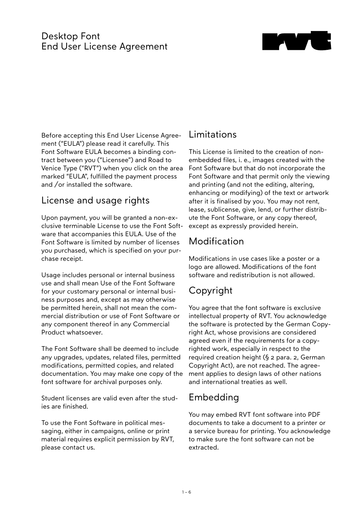#### Desktop Font End User License Agreement



Before accepting this End User License Agreement ("EULA") please read it carefully. This Font Software EULA becomes a binding contract between you ("Licensee") and Road to Venice Type ("RVT") when you click on the area marked "EULA", fulfilled the payment process and /or installed the software.

#### License and usage rights

Upon payment, you will be granted a non-exclusive terminable License to use the Font Software that accompanies this EULA. Use of the Font Software is limited by number of licenses you purchased, which is specified on your purchase receipt.

Usage includes personal or internal business use and shall mean Use of the Font Software for your customary personal or internal business purposes and, except as may otherwise be permitted herein, shall not mean the commercial distribution or use of Font Software or any component thereof in any Commercial Product whatsoever.

The Font Software shall be deemed to include any upgrades, updates, related files, permitted modifications, permitted copies, and related documentation. You may make one copy of the font software for archival purposes only.

Student licenses are valid even after the studies are finished.

To use the Font Software in political messaging, either in campaigns, online or print material requires explicit permission by RVT, please contact us.

#### Limitations

This License is limited to the creation of nonembedded files, i. e., images created with the Font Software but that do not incorporate the Font Software and that permit only the viewing and printing (and not the editing, altering, enhancing or modifying) of the text or artwork after it is finalised by you. You may not rent, lease, sublicense, give, lend, or further distribute the Font Software, or any copy thereof, except as expressly provided herein.

# Modification

Modifications in use cases like a poster or a logo are allowed. Modifications of the font software and redistribution is not allowed.

# Copyright

You agree that the font software is exclusive intellectual property of RVT. You acknowledge the software is protected by the German Copyright Act, whose provisions are considered agreed even if the requirements for a copyrighted work, especially in respect to the required creation height (§ 2 para. 2, German Copyright Act), are not reached. The agreement applies to design laws of other nations and international treaties as well.

# Embedding

You may embed RVT font software into PDF documents to take a document to a printer or a service bureau for printing. You acknowledge to make sure the font software can not be extracted.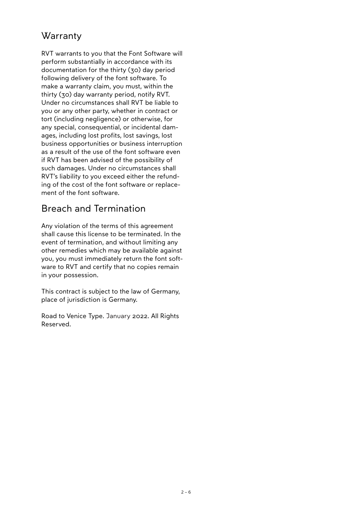### **Warranty**

RVT warrants to you that the Font Software will perform substantially in accordance with its documentation for the thirty (30) day period following delivery of the font software. To make a warranty claim, you must, within the thirty (30) day warranty period, notify RVT. Under no circumstances shall RVT be liable to you or any other party, whether in contract or tort (including negligence) or otherwise, for any special, consequential, or incidental damages, including lost profits, lost savings, lost business opportunities or business interruption as a result of the use of the font software even if RVT has been advised of the possibility of such damages. Under no circumstances shall RVT's liability to you exceed either the refunding of the cost of the font software or replacement of the font software.

### Breach and Termination

Any violation of the terms of this agreement shall cause this license to be terminated. In the event of termination, and without limiting any other remedies which may be available against you, you must immediately return the font software to RVT and certify that no copies remain in your possession.

This contract is subject to the law of Germany, place of jurisdiction is Germany.

Road to Venice Type. January 2022. All Rights Reserved.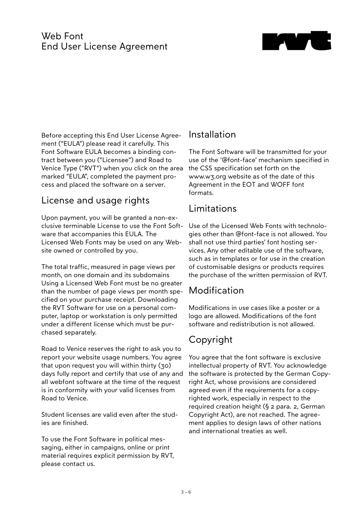#### Web Font End User License Agreement



Before accepting this End User License Agreement ("EULA") please read it carefully. This Font Software EULA becomes a binding contract between you ("Licensee") and Road to Venice Type ("RVT") when you click on the area marked "EULA", completed the payment process and placed the software on a server.

#### License and usage rights

Upon payment, you will be granted a non-exclusive terminable License to use the Font Software that accompanies this EULA. The Licensed Web Fonts may be used on any Website owned or controlled by you.

The total traffic, measured in page views per month, on one domain and its subdomains Using a Licensed Web Font must be no greater than the number of page views per month specified on your purchase receipt. Downloading the RVT Software for use on a personal computer, laptop or workstation is only permitted under a different license which must be purchased separately.

Road to Venice reserves the right to ask you to report your website usage numbers. You agree that upon request you will within thirty (30) days fully report and certify that use of any and all webfont software at the time of the request is in conformity with your valid licenses from Road to Venice.

Student licenses are valid even after the studies are finished.

To use the Font Software in political messaging, either in campaigns, online or print material requires explicit permission by RVT, please contact us.

### Installation

The Font Software will be transmitted for your use of the '@font-face' mechanism specified in the CSS specification set forth on the www.w3.org website as of the date of this Agreement in the EOT and WOFF font formats.

### Limitations

Use of the Licensed Web Fonts with technologies other than @font-face is not allowed. You shall not use third parties' font hosting services. Any other editable use of the software, such as in templates or for use in the creation of customisable designs or products requires the purchase of the written permission of RVT.

# **Modification**

Modifications in use cases like a poster or a logo are allowed. Modifications of the font software and redistribution is not allowed.

# Copyright

You agree that the font software is exclusive intellectual property of RVT. You acknowledge the software is protected by the German Copyright Act, whose provisions are considered agreed even if the requirements for a copyrighted work, especially in respect to the required creation height (§ 2 para. 2, German Copyright Act), are not reached. The agreement applies to design laws of other nations and international treaties as well.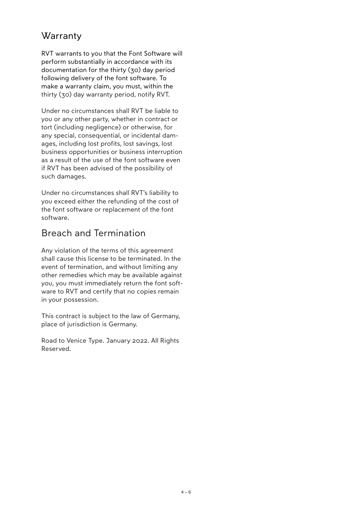### **Warranty**

RVT warrants to you that the Font Software will perform substantially in accordance with its documentation for the thirty (30) day period following delivery of the font software. To make a warranty claim, you must, within the thirty (30) day warranty period, notify RVT.

Under no circumstances shall RVT be liable to you or any other party, whether in contract or tort (including negligence) or otherwise, for any special, consequential, or incidental damages, including lost profits, lost savings, lost business opportunities or business interruption as a result of the use of the font software even if RVT has been advised of the possibility of such damages.

Under no circumstances shall RVT's liability to you exceed either the refunding of the cost of the font software or replacement of the font software.

#### Breach and Termination

Any violation of the terms of this agreement shall cause this license to be terminated. In the event of termination, and without limiting any other remedies which may be available against you, you must immediately return the font software to RVT and certify that no copies remain in your possession.

This contract is subject to the law of Germany, place of jurisdiction is Germany.

Road to Venice Type. January 2022. All Rights Reserved.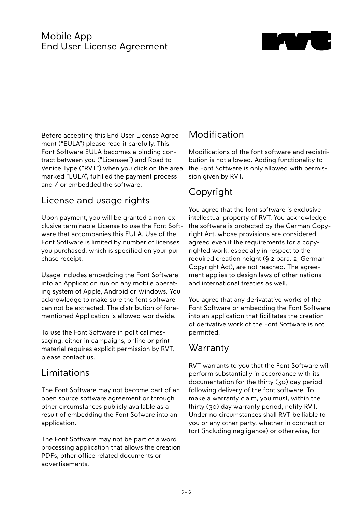#### Mobile App End User License Agreement



Before accepting this End User License Agreement ("EULA") please read it carefully. This Font Software EULA becomes a binding contract between you ("Licensee") and Road to Venice Type ("RVT") when you click on the area marked "EULA", fulfilled the payment process and / or embedded the software.

#### License and usage rights

Upon payment, you will be granted a non-exclusive terminable License to use the Font Software that accompanies this EULA. Use of the Font Software is limited by number of licenses you purchased, which is specified on your purchase receipt.

Usage includes embedding the Font Software into an Application run on any mobile operating system of Apple, Android or Windows. You acknowledge to make sure the font software can not be extracted. The distribution of forementioned Application is allowed worldwide.

To use the Font Software in political messaging, either in campaigns, online or print material requires explicit permission by RVT, please contact us.

### Limitations

The Font Software may not become part of an open source software agreement or through other circumstances publicly available as a result of embedding the Font Sofware into an application.

The Font Software may not be part of a word processing application that allows the creation PDFs, other office related documents or advertisements.

# Modification

Modifications of the font software and redistribution is not allowed. Adding functionality to the Font Software is only allowed with permission given by RVT.

# Copyright

You agree that the font software is exclusive intellectual property of RVT. You acknowledge the software is protected by the German Copyright Act, whose provisions are considered agreed even if the requirements for a copyrighted work, especially in respect to the required creation height (§ 2 para. 2, German Copyright Act), are not reached. The agreement applies to design laws of other nations and international treaties as well.

You agree that any derivatative works of the Font Software or embedding the Font Software into an application that ficilitates the creation of derivative work of the Font Software is not permitted.

# **Warranty**

RVT warrants to you that the Font Software will perform substantially in accordance with its documentation for the thirty (30) day period following delivery of the font software. To make a warranty claim, you must, within the thirty (30) day warranty period, notify RVT. Under no circumstances shall RVT be liable to you or any other party, whether in contract or tort (including negligence) or otherwise, for